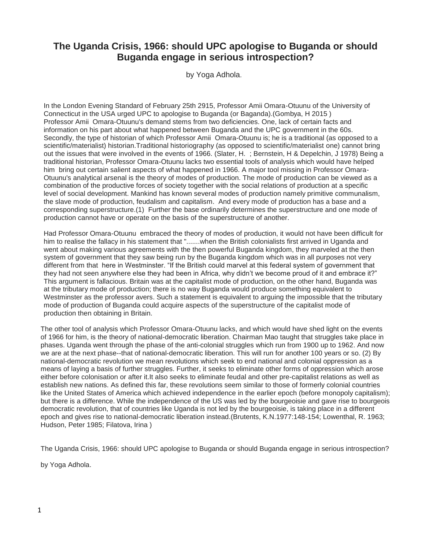# **The Uganda Crisis, 1966: should UPC apologise to Buganda or should Buganda engage in serious introspection?**

by Yoga Adhola.

In the London Evening Standard of February 25th 2915, Professor Amii Omara-Otuunu of the University of Connecticut in the USA urged UPC to apologise to Buganda (or Baganda).(Gombya, H 2015 ) Professor Amii Omara-Otuunu's demand stems from two deficiencies. One, lack of certain facts and information on his part about what happened between Buganda and the UPC government in the 60s. Secondly, the type of historian of which Professor Amii Omara-Otuunu is; he is a traditional (as opposed to a scientific/materialist) historian.Traditional historiography (as opposed to scientific/materialist one) cannot bring out the issues that were involved in the events of 1966. (Slater, H. ; Bernstein, H & Depelchin, J 1978) Being a traditional historian, Professor Omara-Otuunu lacks two essential tools of analysis which would have helped him bring out certain salient aspects of what happened in 1966. A major tool missing in Professor Omara-Otuunu's analytical arsenal is the theory of modes of production. The mode of production can be viewed as a combination of the productive forces of society together with the social relations of production at a specific level of social development. Mankind has known several modes of production namely primitive communalism, the slave mode of production, feudalism and capitalism. And every mode of production has a base and a corresponding superstructure.(1) Further the base ordinarily determines the superstructure and one mode of production cannot have or operate on the basis of the superstructure of another.

Had Professor Omara-Otuunu embraced the theory of modes of production, it would not have been difficult for him to realise the fallacy in his statement that ".......when the British colonialists first arrived in Uganda and went about making various agreements with the then powerful Buganda kingdom, they marveled at the then system of government that they saw being run by the Buganda kingdom which was in all purposes not very different from that here in Westminster. "If the British could marvel at this federal system of government that they had not seen anywhere else they had been in Africa, why didn't we become proud of it and embrace it?" This argument is fallacious. Britain was at the capitalist mode of production, on the other hand, Buganda was at the tributary mode of production; there is no way Buganda would produce something equivalent to Westminster as the professor avers. Such a statement is equivalent to arguing the impossible that the tributary mode of production of Buganda could acquire aspects of the superstructure of the capitalist mode of production then obtaining in Britain.

The other tool of analysis which Professor Omara-Otuunu lacks, and which would have shed light on the events of 1966 for him, is the theory of national-democratic liberation. Chairman Mao taught that struggles take place in phases. Uganda went through the phase of the anti-colonial struggles which run from 1900 up to 1962. And now we are at the next phase--that of national-democratic liberation. This will run for another 100 years or so. (2) By national-democratic revolution we mean revolutions which seek to end national and colonial oppression as a means of laying a basis of further struggles. Further, it seeks to eliminate other forms of oppression which arose either before colonisation or after it.It also seeks to eliminate feudal and other pre-capitalist relations as well as establish new nations. As defined this far, these revolutions seem similar to those of formerly colonial countries like the United States of America which achieved independence in the earlier epoch (before monopoly capitalism); but there is a difference. While the independence of the US was led by the bourgeoisie and gave rise to bourgeois democratic revolution, that of countries like Uganda is not led by the bourgeoisie, is taking place in a different epoch and gives rise to national-democratic liberation instead.(Brutents, K.N.1977:148-154; Lowenthal, R. 1963; Hudson, Peter 1985; Filatova, Irina )

The Uganda Crisis, 1966: should UPC apologise to Buganda or should Buganda engage in serious introspection?

by Yoga Adhola.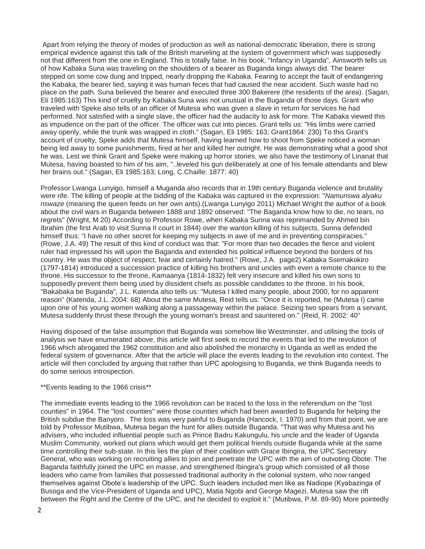Apart from relying the theory of modes of production as well as national-democratic liberation, there is strong empirical evidence against this talk of the British marveling at the system of government which was supposedly not that different from the one in England. This is totally false. In his book, "Infancy in Uganda", Ainsworth tells us of how Kabaka Suna was traveling on the shoulders of a bearer as Buganda kings always did. The bearer stepped on some cow dung and tripped, nearly dropping the Kabaka. Fearing to accept the fault of endangering the Kabaka, the bearer lied, saying it was human feces that had caused the near accident. Such waste had no place on the path. Suna believed the bearer and executed three 300 Bakerere (the residents of the area). (Sagan, Eli 1985:163) This kind of cruelty by Kabaka Suna was not unusual in the Buganda of those days. Grant who traveled with Speke also tells of an officer of Mutesa who was given a slave in return for services he had performed. Not satisfied with a single slave, the officer had the audacity to ask for more. The Kabaka viewed this as impudence on the part of the officer. The officer was cut into pieces. Grant tells us: "His limbs were carried away openly, while the trunk was wrapped in cloth." (Sagan, Eli 1985: 163; Grant1864: 230) To this Grant's account of cruelty, Speke adds that Mutesa himself, having learned how to shoot from Speke noticed a woman being led away to some punishments, fired at her and killed her outright. He was demonstrating what a good shot he was. Lest we think Grant and Speke were making up horror stories, we also have the testimony of Linanat that Mutesa, having boasted to him of his aim, "..leveled his gun deliberately at one of his female attendants and blew her brains out." (Sagan, Eli 1985:163; Long, C.Chaille: 1877: 40)

Professor Lwanga Lunyigo, himself a Muganda also records that in 19th century Buganda violence and brutality were rife. The killing of people at the bidding of the Kabaka was captured in the expression: "*Namunswa alyaku nswaze* (meaning the queen feeds on her own ants).(Lwanga Lunyigo 2011) Michael Wright the author of a book about the civil wars in Buganda between 1888 and 1892 observed: "The Baganda know how to die, no tears, no regrets" (Wright, M 20) According to Professor Rowe, when Kabaka Sunna was reprimanded by Ahmed bin Ibrahim (the first Arab to visit Sunna II court in 1844) over the wanton killing of his subjects, Sunna defended himself thus: "I have no other secret for keeping my subjects in awe of me and in preventing conspiracies." (Rowe, J.A. 49) The result of this kind of conduct was that: "For more than two decades the fierce and violent ruler had impressed his will upon the Baganda and extended his political influence beyond the borders of his country. He was the object of respect, fear and certainly hatred." (Rowe, J.A. page2) Kabaka Ssemakokiro (1797-1814) introduced a succession practice of killing his brothers and uncles with even a remote chance to the throne. His successor to the throne, Kamaanya (1814-1832) felt very insecure and killed his own sons to supposedly prevent them being used by dissident chiefs as possible candidates to the throne. In his book, "Bakabaka be Buganda", J.L. Katenda also tells us: "Mutesa I killed many people, about 2000, for no apparent reason" (Katenda, J.L. 2004: 68) About the same Mutesa, Reid tells us: "Once it is reported, he (Mutesa I) came upon one of his young women walking along a passageway within the palace. Seizing two spears from a servant, Mutesa suddenly thrust these through the young woman's breast and sauntered on." (Reid, R. 2002: 40"

Having disposed of the false assumption that Buganda was somehow like Westminster, and utilising the tools of analysis we have enumerated above, this article will first seek to record the events that led to the revolution of 1966 which abrogated the 1962 constitution and also abolished the monarchy in Uganda as well as ended the federal system of governance. After that the article will place the events leading to the revolution into context. The article will then concluded by arguing that rather than UPC apologising to Buganda, we think Buganda needs to do some serious introspection.

#### \*\*Events leading to the 1966 crisis\*\*

The immediate events leading to the 1966 revolution can be traced to the loss in the referendum on the "lost counties" in 1964. The "lost counties" were those counties which had been awarded to Buganda for helping the British subdue the Banyoro. The loss was very painful to Buganda (Hancock, I. 1970) and from that point, we are told by Professor Mutibwa, Mutesa began the hunt for allies outside Buganda. "That was why Mutesa and his advisers, who included influential people such as Prince Badru Kakungulu, his uncle and the leader of Uganda Muslim Community, worked out plans which would get them political friends outside Buganda while at the same time controlling their sub-state. In this lies the plan of their coalition with Grace Ibingira, the UPC Secretary General, who was working on recruiting allies to join and penetrate the UPC with the aim of outvoting Obote. The Baganda faithfully joined the UPC en masse, and strengthened Ibingira's group which consisted of all those leaders who came from families that possessed traditional authority in the colonial system, who now ranged themselves against Obote's leadership of the UPC. Such leaders included men like as Nadiope (Kyabazinga of Busoga and the Vice-President of Uganda and UPC), Matia Ngobi and George Magezi. Mutesa saw the rift between the Right and the Centre of the UPC, and he decided to exploit it." (Mutibwa, P.M. 89-90) More pointedly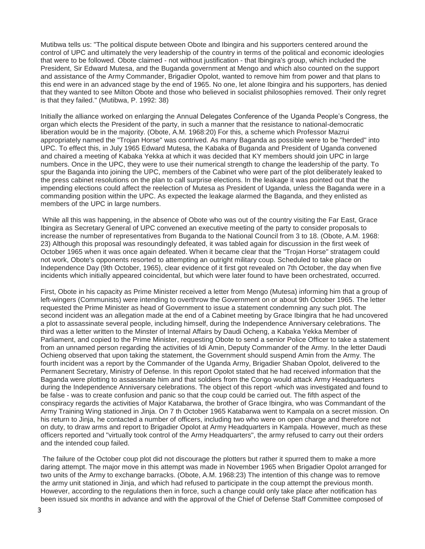Mutibwa tells us: "The political dispute between Obote and Ibingira and his supporters centered around the control of UPC and ultimately the very leadership of the country in terms of the political and economic ideologies that were to be followed. Obote claimed - not without justification - that Ibingira's group, which included the President, Sir Edward Mutesa, and the Buganda government at Mengo and which also counted on the support and assistance of the Army Commander, Brigadier Opolot, wanted to remove him from power and that plans to this end were in an advanced stage by the end of 1965. No one, let alone Ibingira and his supporters, has denied that they wanted to see Milton Obote and those who believed in socialist philosophies removed. Their only regret is that they failed." (Mutibwa, P. 1992: 38)

Initially the alliance worked on enlarging the Annual Delegates Conference of the Uganda People's Congress, the organ which elects the President of the party, in such a manner that the resistance to national-democratic liberation would be in the majority. (Obote, A.M. 1968:20) For this, a scheme which Professor Mazrui appropriately named the "Trojan Horse" was contrived. As many Baganda as possible were to be "herded" into UPC. To effect this, in July 1965 Edward Mutesa, the Kabaka of Buganda and President of Uganda convened and chaired a meeting of Kabaka Yekka at which it was decided that KY members should join UPC in large numbers. Once in the UPC, they were to use their numerical strength to change the leadership of the party. To spur the Baganda into joining the UPC, members of the Cabinet who were part of the plot deliberately leaked to the press cabinet resolutions on the plan to call surprise elections. In the leakage it was pointed out that the impending elections could affect the reelection of Mutesa as President of Uganda, unless the Baganda were in a commanding position within the UPC. As expected the leakage alarmed the Baganda, and they enlisted as members of the UPC in large numbers.

While all this was happening, in the absence of Obote who was out of the country visiting the Far East, Grace Ibingira as Secretary General of UPC convened an executive meeting of the party to consider proposals to increase the number of representatives from Buganda to the National Council from 3 to 18. (Obote, A.M. 1968: 23) Although this proposal was resoundingly defeated, it was tabled again for discussion in the first week of October 1965 when it was once again defeated. When it became clear that the "Trojan Horse" stratagem could not work, Obote's opponents resorted to attempting an outright military coup. Scheduled to take place on Independence Day (9th October, 1965), clear evidence of it first got revealed on 7th October, the day when five incidents which initially appeared coincidental, but which were later found to have been orchestrated, occurred.

First, Obote in his capacity as Prime Minister received a letter from Mengo (Mutesa) informing him that a group of left-wingers (Communists) were intending to overthrow the Government on or about 9th October 1965. The letter requested the Prime Minister as head of Government to issue a statement condemning any such plot. The second incident was an allegation made at the end of a Cabinet meeting by Grace Ibingira that he had uncovered a plot to assassinate several people, including himself, during the Independence Anniversary celebrations. The third was a letter written to the Minster of Internal Affairs by Daudi Ocheng, a Kabaka Yekka Member of Parliament, and copied to the Prime Minister, requesting Obote to send a senior Police Officer to take a statement from an unnamed person regarding the activities of Idi Amin, Deputy Commander of the Army. In the letter Daudi Ochieng observed that upon taking the statement, the Government should suspend Amin from the Army. The fourth incident was a report by the Commander of the Uganda Army, Brigadier Shaban Opolot, delivered to the Permanent Secretary, Ministry of Defense. In this report Opolot stated that he had received information that the Baganda were plotting to assassinate him and that soldiers from the Congo would attack Army Headquarters during the Independence Anniversary celebrations. The object of this report -which was investigated and found to be false - was to create confusion and panic so that the coup could be carried out. The fifth aspect of the conspiracy regards the activities of Major Katabarwa, the brother of Grace Ibingira, who was Commandant of the Army Training Wing stationed in Jinja. On 7 th October 1965 Katabarwa went to Kampala on a secret mission. On his return to Jinja, he contacted a number of officers, including two who were on open charge and therefore not on duty, to draw arms and report to Brigadier Opolot at Army Headquarters in Kampala. However, much as these officers reported and "virtually took control of the Army Headquarters", the army refused to carry out their orders and the intended coup failed.

The failure of the October coup plot did not discourage the plotters but rather it spurred them to make a more daring attempt. The major move in this attempt was made in November 1965 when Brigadier Opolot arranged for two units of the Army to exchange barracks. (Obote, A.M. 1968:23) The intention of this change was to remove the army unit stationed in Jinja, and which had refused to participate in the coup attempt the previous month. However, according to the regulations then in force, such a change could only take place after notification has been issued six months in advance and with the approval of the Chief of Defense Staff Committee composed of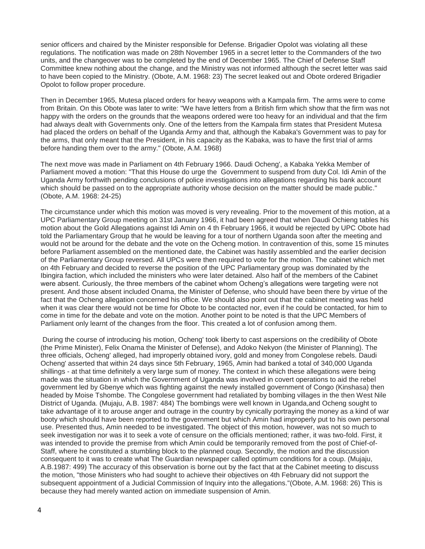senior officers and chaired by the Minister responsible for Defense. Brigadier Opolot was violating all these regulations. The notification was made on 28th November 1965 in a secret letter to the Commanders of the two units, and the changeover was to be completed by the end of December 1965. The Chief of Defense Staff Committee knew nothing about the change, and the Ministry was not informed although the secret letter was said to have been copied to the Ministry. (Obote, A.M. 1968: 23) The secret leaked out and Obote ordered Brigadier Opolot to follow proper procedure.

Then in December 1965, Mutesa placed orders for heavy weapons with a Kampala firm. The arms were to come from Britain. On this Obote was later to write: "We have letters from a British firm which show that the firm was not happy with the orders on the grounds that the weapons ordered were too heavy for an individual and that the firm had always dealt with Governments only. One of the letters from the Kampala firm states that President Mutesa had placed the orders on behalf of the Uganda Army and that, although the Kabaka's Government was to pay for the arms, that only meant that the President, in his capacity as the Kabaka, was to have the first trial of arms before handing them over to the army." (Obote, A.M. 1968)

The next move was made in Parliament on 4th February 1966. Daudi Ocheng', a Kabaka Yekka Member of Parliament moved a motion: "That this House do urge the Government to suspend from duty Col. Idi Amin of the Uganda Army forthwith pending conclusions of police investigations into allegations regarding his bank account which should be passed on to the appropriate authority whose decision on the matter should be made public." (Obote, A.M. 1968: 24-25)

The circumstance under which this motion was moved is very revealing. Prior to the movement of this motion, at a UPC Parliamentary Group meeting on 31st January 1966, it had been agreed that when Daudi Ochieng tables his motion about the Gold Allegations against Idi Amin on 4 th February 1966, it would be rejected by UPC Obote had told the Parliamentary Group that he would be leaving for a tour of northern Uganda soon after the meeting and would not be around for the debate and the vote on the Ocheng motion. In contravention of this, some 15 minutes before Parliament assembled on the mentioned date, the Cabinet was hastily assembled and the earlier decision of the Parliamentary Group reversed. All UPCs were then required to vote for the motion. The cabinet which met on 4th February and decided to reverse the position of the UPC Parliamentary group was dominated by the Ibingira faction, which included the ministers who were later detained. Also half of the members of the Cabinet were absent. Curiously, the three members of the cabinet whom Ocheng's allegations were targeting were not present. And those absent included Onama, the Minister of Defense, who should have been there by virtue of the fact that the Ocheng allegation concerned his office. We should also point out that the cabinet meeting was held when it was clear there would not be time for Obote to be contacted nor, even if he could be contacted, for him to come in time for the debate and vote on the motion. Another point to be noted is that the UPC Members of Parliament only learnt of the changes from the floor. This created a lot of confusion among them.

During the course of introducing his motion, Ocheng' took liberty to cast aspersions on the credibility of Obote (the Prime Minister), Felix Onama the Minister of Defense), and Adoko Nekyon (the Minister of Planning). The three officials, Ocheng' alleged, had improperly obtained ivory, gold and money from Congolese rebels. Daudi Ocheng' asserted that within 24 days since 5th February, 1965, Amin had banked a total of 340,000 Uganda shillings - at that time definitely a very large sum of money. The context in which these allegations were being made was the situation in which the Government of Uganda was involved in covert operations to aid the rebel government led by Gbenye which was fighting against the newly installed government of Congo (Kinshasa) then headed by Moise Tshombe. The Congolese government had retaliated by bombing villages in the then West Nile District of Uganda. (Mujaju, A.B. 1987: 484) The bombings were well known in Uganda,and Ocheng sought to take advantage of it to arouse anger and outrage in the country by cynically portraying the money as a kind of war booty which should have been reported to the government but which Amin had improperly put to his own personal use. Presented thus, Amin needed to be investigated. The object of this motion, however, was not so much to seek investigation nor was it to seek a vote of censure on the officials mentioned; rather, it was two-fold. First, it was intended to provide the premise from which Amin could be temporarily removed from the post of Chief-of-Staff, where he constituted a stumbling block to the planned coup. Secondly, the motion and the discussion consequent to it was to create what The Guardian newspaper called optimum conditions for a coup. (Mujaju, A.B.1987: 499) The accuracy of this observation is borne out by the fact that at the Cabinet meeting to discuss the motion, "those Ministers who had sought to achieve their objectives on 4th February did not support the subsequent appointment of a Judicial Commission of Inquiry into the allegations."(Obote, A.M. 1968: 26) This is because they had merely wanted action on immediate suspension of Amin.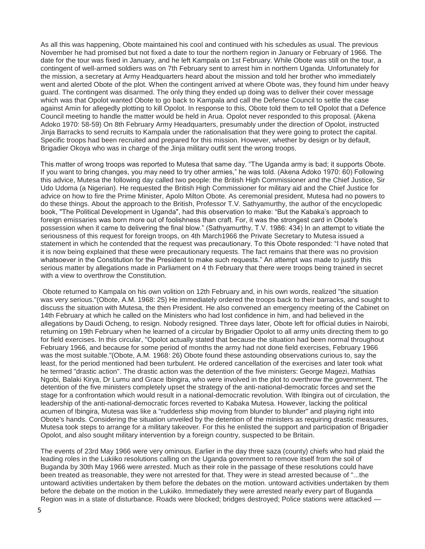As all this was happening, Obote maintained his cool and continued with his schedules as usual. The previous November he had promised but not fixed a date to tour the northern region in January or February of 1966. The date for the tour was fixed in January, and he left Kampala on 1st February. While Obote was still on the tour, a contingent of well-armed soldiers was on 7th February sent to arrest him in northern Uganda. Unfortunately for the mission, a secretary at Army Headquarters heard about the mission and told her brother who immediately went and alerted Obote of the plot. When the contingent arrived at where Obote was, they found him under heavy guard. The contingent was disarmed. The only thing they ended up doing was to deliver their cover message which was that Opolot wanted Obote to go back to Kampala and call the Defense Council to settle the case against Amin for allegedly plotting to kill Opolot. In response to this, Obote told them to tell Opolot that a Defence Council meeting to handle the matter would be held in Arua. Opolot never responded to this proposal. (Akena Adoko 1970: 58-59) On 8th February Army Headquarters, presumably under the direction of Opolot, instructed Jinja Barracks to send recruits to Kampala under the rationalisation that they were going to protect the capital. Specific troops had been recruited and prepared for this mission. However, whether by design or by default, Brigadier Okoya who was in charge of the Jinja military outfit sent the wrong troops.

This matter of wrong troops was reported to Mutesa that same day. "The Uganda army is bad; it supports Obote. If you want to bring changes, you may need to try other armies," he was told. (Akena Adoko 1970: 60) Following this advice, Mutesa the following day called two people: the British High Commissioner and the Chief Justice, Sir Udo Udoma (a Nigerian). He requested the British High Commissioner for military aid and the Chief Justice for advice on how to fire the Prime Minister, Apolo Milton Obote. As ceremonial president, Mutesa had no powers to do these things. About the approach to the British, Professor T.V. Sathyamurthy, the author of the encyclopedic book, "The Political Development in Uganda", had this observation to make: "But the Kabaka's approach to foreign emissaries was born more out of foolishness than craft. For, it was the strongest card in Obote's possession when it came to delivering the final blow." (Sathyamurthy, T.V. 1986: 434) In an attempt to vitiate the seriousness of this request for foreign troops, on 4th March1966 the Private Secretary to Mutesa issued a statement in which he contended that the request was precautionary. To this Obote responded: "I have noted that it is now being explained that these were precautionary requests. The fact remains that there was no provision whatsoever in the Constitution for the President to make such requests." An attempt was made to justify this serious matter by allegations made in Parliament on 4 th February that there were troops being trained in secret with a view to overthrow the Constitution.

Obote returned to Kampala on his own volition on 12th February and, in his own words, realized "the situation was very serious."(Obote, A.M. 1968: 25) He immediately ordered the troops back to their barracks, and sought to discuss the situation with Mutesa, the then President. He also convened an emergency meeting of the Cabinet on 14th February at which he called on the Ministers who had lost confidence in him, and had believed in the allegations by Daudi Ocheng, to resign. Nobody resigned. Three days later, Obote left for official duties in Nairobi, returning on 19th February when he learned of a circular by Brigadier Opolot to all army units directing them to go for field exercises. In this circular, "Opolot actually stated that because the situation had been normal throughout February 1966, and because for some period of months the army had not done field exercises, February 1966 was the most suitable."(Obote, A.M. 1968: 26) Obote found these astounding observations curious to, say the least, for the period mentioned had been turbulent. He ordered cancellation of the exercises and later took what he termed "drastic action". The drastic action was the detention of the five ministers: George Magezi, Mathias Ngobi, Balaki Kirya, Dr Lumu and Grace Ibingira, who were involved in the plot to overthrow the government. The detention of the five ministers completely upset the strategy of the anti-national-democratic forces and set the stage for a confrontation which would result in a national-democratic revolution. With Ibingira out of circulation, the leadership of the anti-national-democratic forces reverted to Kabaka Mutesa. However, lacking the political acumen of Ibingira, Mutesa was like a "rudderless ship moving from blunder to blunder" and playing right into Obote's hands. Considering the situation unveiled by the detention of the ministers as requiring drastic measures, Mutesa took steps to arrange for a military takeover. For this he enlisted the support and participation of Brigadier Opolot, and also sought military intervention by a foreign country, suspected to be Britain.

The events of 23rd May 1966 were very ominous. Earlier in the day three saza (county) chiefs who had plaid the leading roles in the Lukiiko resolutions calling on the Uganda government to remove itself from the soil of Buganda by 30th May 1966 were arrested. Much as their role in the passage of these resolutions could have been treated as treasonable, they were not arrested for that. They were in stead arrested because of "...the untoward activities undertaken by them before the debates on the motion. untoward activities undertaken by them before the debate on the motion in the Lukiiko. Immediately they were arrested nearly every part of Buganda Region was in a state of disturbance. Roads were blocked; bridges destroyed; Police stations were attacked —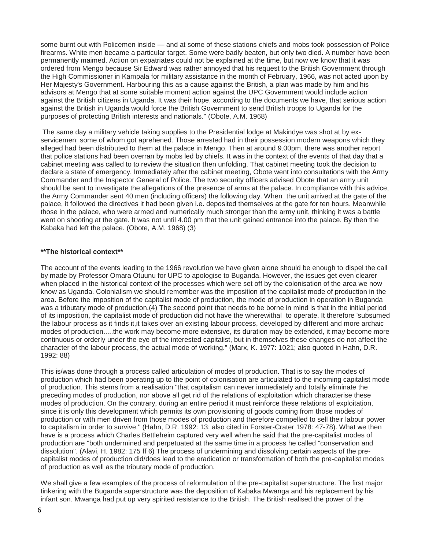some burnt out with Policemen inside — and at some of these stations chiefs and mobs took possession of Police firearms. White men became a particular target. Some were badly beaten, but only two died. A number have been permanently maimed. Action on expatriates could not be explained at the time, but now we know that it was ordered from Mengo because Sir Edward was rather annoyed that his request to the British Government through the High Commissioner in Kampala for military assistance in the month of February, 1966, was not acted upon by Her Majesty's Government. Harbouring this as a cause against the British, a plan was made by him and his advisors at Mengo that at some suitable moment action against the UPC Government would include action against the British citizens in Uganda. It was their hope, according to the documents we have, that serious action against the British in Uganda would force the British Government to send British troops to Uganda for the purposes of protecting British interests and nationals." (Obote, A.M. 1968)

The same day a military vehicle taking supplies to the Presidential lodge at Makindye was shot at by exservicemen; some of whom got aprehened. Those arrested had in their possession modern weapons which they alleged had been distributed to them at the palace in Mengo. Then at around 9.00pm, there was another report that police stations had been overran by mobs led by chiefs. It was in the context of the events of that day that a cabinet meeting was called to to review the situation then unfolding. That cabinet meeting took the decision to declare a state of emergency. Immediately after the cabinet meeting, Obote went into consultations with the Army Commander and the Inspector General of Police. The two security officers advised Obote that an army unit should be sent to investigate the allegations of the presence of arms at the palace. In compliance with this advice, the Army Commander sent 40 men (including officers) the following day. When the unit arrived at the gate of the palace, it followed the directives it had been given i.e. deposited themselves at the gate for ten hours. Meanwhile those in the palace, who were armed and numerically much stronger than the army unit, thinking it was a battle went on shooting at the gate. It was not until 4.00 pm that the unit gained entrance into the palace. By then the Kabaka had left the palace. (Obote, A.M. 1968) (3)

### **\*\*The historical context\*\***

The account of the events leading to the 1966 revolution we have given alone should be enough to dispel the call by made by Professor Omara Otuunu for UPC to apologise to Buganda. However, the issues get even clearer when placed in the historical context of the processes which were set off by the colonisation of the area we now know as Uganda. Colonialism we should remember was the imposition of the capitalist mode of production in the area. Before the imposition of the capitalist mode of production, the mode of production in operation in Buganda was a tributary mode of production.(4) The second point that needs to be borne in mind is that in the initial period of its imposition, the capitalist mode of production did not have the wherewithal to operate. It therefore 'subsumed the labour process as it finds it,it takes over an existing labour process, developed by different and more archaic modes of production.....the work may become more extensive, its duration may be extended, it may become more continuous or orderly under the eye of the interested capitalist, but in themselves these changes do not affect the character of the labour process, the actual mode of working." (Marx, K. 1977: 1021; also quoted in Hahn, D.R. 1992: 88)

This is/was done through a process called articulation of modes of production. That is to say the modes of production which had been operating up to the point of colonisation are articulated to the incoming capitalist mode of production. This stems from a realisation "that capitalism can never immediately and totally eliminate the preceding modes of production, nor above all get rid of the relations of exploitation which characterise these modes of production. On the contrary, during an entire period it must reinforce these relations of exploitation, since it is only this development which permits its own provisioning of goods coming from those modes of production or with men driven from those modes of production and therefore compelled to sell their labour power to capitalism in order to survive." (Hahn, D.R. 1992: 13; also cited in Forster-Crater 1978: 47-78). What we then have is a process which Charles Bettleheim captured very well when he said that the pre-capitalist modes of production are "both undermined and perpetuated at the same time in a process he called "conservation and dissolution". (Alavi, H. 1982: 175 ff 6) The process of undermining and dissolving certain aspects of the precapitalist modes of production did/does lead to the eradication or transformation of both the pre-capitalist modes of production as well as the tributary mode of production.

We shall give a few examples of the process of reformulation of the pre-capitalist superstructure. The first major tinkering with the Buganda superstructure was the deposition of Kabaka Mwanga and his replacement by his infant son. Mwanga had put up very spirited resistance to the British. The British realised the power of the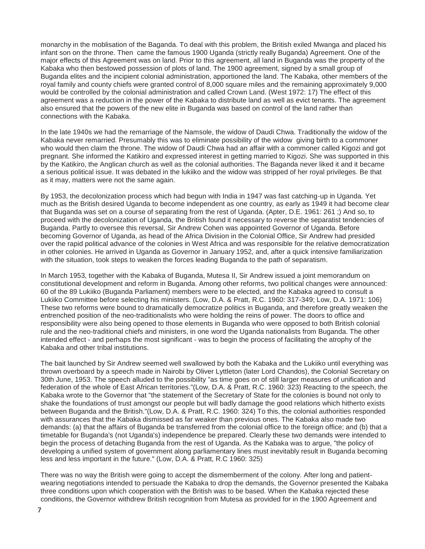monarchy in the moblisation of the Baganda. To deal with this problem, the British exiled Mwanga and placed his infant son on the throne. Then came the famous 1900 Uganda (strictly really Buganda) Agreement. One of the major effects of this Agreement was on land. Prior to this agreement, all land in Buganda was the property of the Kabaka who then bestowed possession of plots of land. The 1900 agreement, signed by a small group of Buganda elites and the incipient colonial administration, apportioned the land. The Kabaka, other members of the royal family and county chiefs were granted control of 8,000 square miles and the remaining approximately 9,000 would be controlled by the colonial administration and called Crown Land. (West 1972: 17) The effect of this agreement was a reduction in the power of the Kabaka to distribute land as well as evict tenants. The agreement also ensured that the powers of the new elite in Buganda was based on control of the land rather than connections with the Kabaka.

In the late 1940s we had the remarriage of the Namsole, the widow of Daudi Chwa. Traditionally the widow of the Kabaka never remarried. Presumably this was to eliminate possibility of the widow giving birth to a commoner who would then claim the throne. The widow of Daudi Chwa had an affair with a commoner called Kigozi and got pregnant. She informed the Katikiro and expressed interest in getting married to Kigozi. She was supported in this by the Katikiro, the Anglican church as well as the colonial authorities. The Baganda never liked it and it became a serious political issue. It was debated in the lukiiko and the widow was stripped of her royal privileges. Be that as it may, matters were not the same again.

By 1953, the decolonization process which had begun with India in 1947 was fast catching-up in Uganda. Yet much as the British desired Uganda to become independent as one country, as early as 1949 it had become clear that Buganda was set on a course of separating from the rest of Uganda. (Apter, D.E. 1961: 261 ;) And so, to proceed with the decolonization of Uganda, the British found it necessary to reverse the separatist tendencies of Buganda. Partly to oversee this reversal, Sir Andrew Cohen was appointed Governor of Uganda. Before becoming Governor of Uganda, as head of the Africa Division in the Colonial Office, Sir Andrew had presided over the rapid political advance of the colonies in West Africa and was responsible for the relative democratization in other colonies. He arrived in Uganda as Governor in January 1952, and, after a quick intensive familiarization with the situation, took steps to weaken the forces leading Buganda to the path of separatism.

In March 1953, together with the Kabaka of Buganda, Mutesa II, Sir Andrew issued a joint memorandum on constitutional development and reform in Buganda. Among other reforms, two political changes were announced: 60 of the 89 Lukiiko (Buganda Parliament) members were to be elected, and the Kabaka agreed to consult a Lukiiko Committee before selecting his ministers. (Low, D.A. & Pratt, R.C. 1960: 317-349; Low, D.A. 1971: 106) These two reforms were bound to dramatically democratize politics in Buganda, and therefore greatly weaken the entrenched position of the neo-traditionalists who were holding the reins of power. The doors to office and responsibility were also being opened to those elements in Buganda who were opposed to both British colonial rule and the neo-traditional chiefs and ministers, in one word the Uganda nationalists from Buganda. The other intended effect - and perhaps the most significant - was to begin the process of facilitating the atrophy of the Kabaka and other tribal institutions.

The bait launched by Sir Andrew seemed well swallowed by both the Kabaka and the Lukiiko until everything was thrown overboard by a speech made in Nairobi by Oliver Lyttleton (later Lord Chandos), the Colonial Secretary on 30th June, 1953. The speech alluded to the possibility "as time goes on of still larger measures of unification and federation of the whole of East African territories."(Low, D.A. & Pratt, R.C. 1960: 323) Reacting to the speech, the Kabaka wrote to the Governor that "the statement of the Secretary of State for the colonies is bound not only to shake the foundations of trust amongst our people but will badly damage the good relations which hitherto exists between Buganda and the British."(Low, D.A. & Pratt, R.C. 1960: 324) To this, the colonial authorities responded with assurances that the Kabaka dismissed as far weaker than previous ones. The Kabaka also made two demands: (a) that the affairs of Buganda be transferred from the colonial office to the foreign office; and (b) that a timetable for Buganda's (not Uganda's) independence be prepared. Clearly these two demands were intended to begin the process of detaching Buganda from the rest of Uganda. As the Kabaka was to argue, "the policy of developing a unified system of government along parliamentary lines must inevitably result in Buganda becoming less and less important in the future." (Low, D.A. & Pratt, R.C 1960: 325)

There was no way the British were going to accept the dismemberment of the colony. After long and patientwearing negotiations intended to persuade the Kabaka to drop the demands, the Governor presented the Kabaka three conditions upon which cooperation with the British was to be based. When the Kabaka rejected these conditions, the Governor withdrew British recognition from Mutesa as provided for in the 1900 Agreement and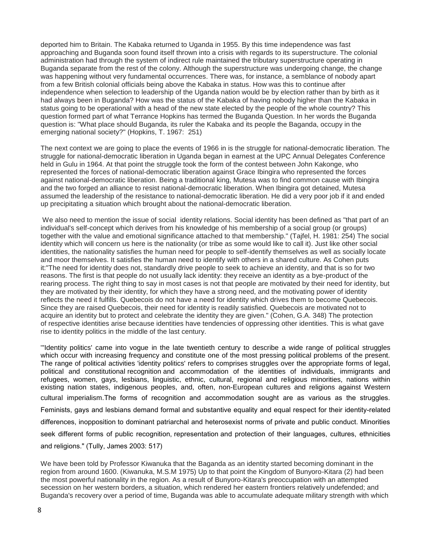deported him to Britain. The Kabaka returned to Uganda in 1955. By this time independence was fast approaching and Buganda soon found itself thrown into a crisis with regards to its superstructure. The colonial administration had through the system of indirect rule maintained the tributary superstructure operating in Buganda separate from the rest of the colony. Although the superstructure was undergoing change, the change was happening without very fundamental occurrences. There was, for instance, a semblance of nobody apart from a few British colonial officials being above the Kabaka in status. How was this to continue after independence when selection to leadership of the Uganda nation would be by election rather than by birth as it had always been in Buganda? How was the status of the Kabaka of having nobody higher than the Kabaka in status going to be operational with a head of the new state elected by the people of the whole country? This question formed part of what Terrance Hopkins has termed the Buganda Question. In her words the Buganda question is: "What place should Buganda, its ruler the Kabaka and its people the Baganda, occupy in the emerging national society?" (Hopkins, T. 1967: 251)

The next context we are going to place the events of 1966 in is the struggle for national-democratic liberation. The struggle for national-democratic liberation in Uganda began in earnest at the UPC Annual Delegates Conference held in Gulu in 1964. At that point the struggle took the form of the contest between John Kakonge, who represented the forces of national-democratic liberation against Grace Ibingira who represented the forces against national-democratic liberation. Being a traditional king, Mutesa was to find common cause with Ibingira and the two forged an alliance to resist national-democratic liberation. When Ibingira got detained, Mutesa assumed the leadership of the resistance to national-democratic liberation. He did a very poor job if it and ended up precipitating a situation which brought about the national-democratic liberation.

We also need to mention the issue of social identity relations. Social identity has been defined as "that part of an individual's self-concept which derives from his knowledge of his membership of a social group (or groups) together with the value and emotional significance attached to that membership." (Tajfel, H. 1981: 254) The social identity which will concern us here is the nationality (or tribe as some would like to call it). Just like other social identities, the nationality satisfies the human need for people to self-identify themselves as well as socially locate and moor themselves. It satisfies the human need to identify with others in a shared culture. As Cohen puts it:"The need for identity does not, standardly drive people to seek to achieve an identity, and that is so for two reasons. The first is that people do not usually lack identity: they receive an identity as a bye-product of the rearing process. The right thing to say in most cases is not that people are motivated by their need for identity, but they are motivated by their identity, for which they have a strong need, and the motivating power of identity reflects the need it fulfills. Quebecois do not have a need for identity which drives them to become Quebecois. Since they are raised Quebecois, their need for identity is readily satisfied. Quebecois are motivated not to acquire an identity but to protect and celebrate the identity they are given." (Cohen, G.A. 348) The protection of respective identities arise because identities have tendencies of oppressing other identities. This is what gave rise to identity politics in the middle of the last century.

"'Identity politics' came into vogue in the late twentieth century to describe a wide range of political struggles which occur with increasing frequency and constitute one of the most pressing political problems of the present. The range of political activities 'identity politics' refers to comprises struggles over the appropriate forms of legal, political and constitutional recognition and accommodation of the identities of individuals, immigrants and refugees, women, gays, lesbians, linguistic, ethnic, cultural, regional and religious minorities, nations within existing nation states, indigenous peoples, and, often, non-European cultures and religions against Western cultural imperialism.The forms of recognition and accommodation sought are as various as the struggles. Feminists, gays and lesbians demand formal and substantive equality and equal respect for their identity-related differences, inopposition to dominant patriarchal and heterosexist norms of private and public conduct. Minorities seek different forms of public recognition, representation and protection of their languages, cultures, ethnicities and religions." (Tully, James 2003: 517)

We have been told by Professor Kiwanuka that the Baganda as an identity started becoming dominant in the region from around 1600. (Kiwanuka, M.S.M 1975) Up to that point the Kingdom of Bunyoro-Kitara (2) had been the most powerful nationality in the region. As a result of Bunyoro-Kitara's preoccupation with an attempted secession on her western borders, a situation, which rendered her eastern frontiers relatively undefended; and Buganda's recovery over a period of time, Buganda was able to accumulate adequate military strength with which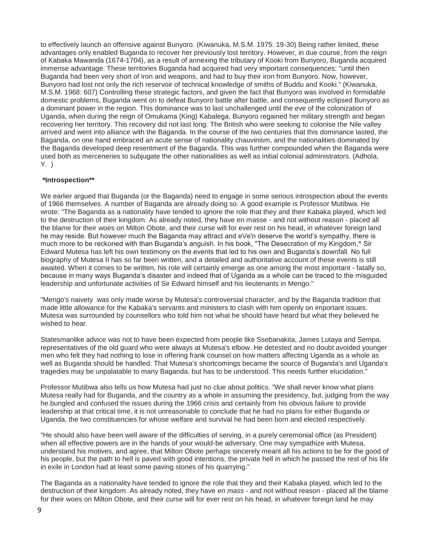to effectively launch an offensive against Bunyoro. (Kiwanuka, M.S.M. 1975: 19-30) Being rather limited, these advantages only enabled Buganda to recover her previously lost territory. However, in due course, from the reign of Kabaka Mawanda (1674-1704), as a result of annexing the tributary of Kooki from Bunyoro, Buganda acquired immense advantage. These territories Buganda had acquired had very important consequences: "until then Buganda had been very short of iron and weapons, and had to buy their iron from Bunyoro. Now, however, Bunyoro had lost not only the rich reservoir of technical knowledge of smiths of Buddu and Kooki." (Kiwanuka, M.S.M. 1968: 607) Controlling these strategic factors, and given the fact that Bunyoro was involved in formidable domestic problems, Buganda went on to defeat Bunyoro battle after battle, and consequently eclipsed Bunyoro as a dominant power in the region. This dominance was to last unchallenged until the eve of the colonization of Uganda, when during the reign of Omukama (King) Kabalega, Bunyoro regained her military strength and began recovering her territory. This recovery did not last long. The British who were seeking to colonise the Nile valley arrived and went into alliance with the Baganda. In the course of the two centuries that this dominance lasted, the Baganda, on one hand embraced an acute sense of nationality chauvinism, and the nationalities dominated by the Baganda developed deep resentment of the Baganda. This was further compounded when the Baganda were used both as merceneries to subjugate the other nationalities as well as initial colonial administrators. (Adhola, Y. )

### **\*Introspection\*\***

We earlier argued that Buganda (or the Baganda) need to engage in some serious introspection about the events of 1966 themselves. A number of Baganda are already doing so. A good example is Professor Mutibwa. He wrote: "The Baganda as a nationality have tended to ignore the role that they and their Kabaka played, which led to the destruction of their kingdom. As already noted, they have en masse - and not without reason - placed all the blame for their woes on Milton Obote, and their curse will for ever rest on his head, in whatever foreign land he may reside. But however much the Baganda may attract and eVe'n deserve the world's sympathy, there is much more to be reckoned with than Buganda's anguish. In his book, "The Desecration of my Kingdom, ^ Sir Edward Mutesa has left his own testimony on the events that led to his own and Buganda's downfall. No full biography of Mutesa II has so far been written, and a detailed and authoritative account of these events is still awaited. When it comes to be written, his role will certainly emerge as one among the most important - fatally so, because in many ways Buganda's disaster and indeed that of Uganda as a whole can be traced to the misguided leadership and unfortunate activities of Sir Edward himself and his lieutenants in Mengo."

"Mengo's naivety was only made worse by Mutesa's controversial character, and by the Baganda tradition that made little allowance for the Kabaka's servants and ministers to clash with him openly on important issues. Mutesa was surrounded by counsellors who told him not what he should have heard but what they believed he wished to hear.

Statesmanlike advice was not to have been expected from people like Ssebanakita, James Lutaya and Sempa, representatives of the old guard who were always at Mutesa's elbow. He detested and no doubt avoided younger men who felt they had nothing to lose in offering frank counsel on how matters affecting Uganda as a whole as well as Buganda should be handled. That Mutesa's shortcomings became the source of Buganda's and Uganda's tragedies may be unpalatable to many Baganda, but has to be understood. This needs further elucidation."

Professor Mutibwa also tells us how Mutesa had just no clue about politics. "We shall never know what plans Mutesa really had for Buganda, and the country as a whole in assuming the presidency, but, judging from the way he.bungled and confused the issues during the 1966 crisis and certainly from his obvious failure to provide leadership at that critical time, it is not unreasonable to conclude that he had no plans for either Buganda or Uganda, the two constituencies for whose welfare and survival he had been born and elected respectively.

"He should also have been well aware of the difficulties of serving, in a purely ceremonial office (as President) when all effective powers are in the hands of your would-be adversary. One may sympathize with Mutesa, understand his motives, and agree, that Milton Obote perhaps sincerely meant all his actions to be for the good of his people, but the path to hell is paved with good intentions, the private hell in which he passed the rest of his life in exile in London had at least some paving stones of his quarrying."

The Baganda as a nationality have tended to ignore the role that they and their Kabaka played, which led to the destruction of their kingdom. As already noted, they have *en mass* - and not without reason - placed all the blame for their woes on Milton Obote, and their curse will for ever rest on his head, in whatever foreign land he may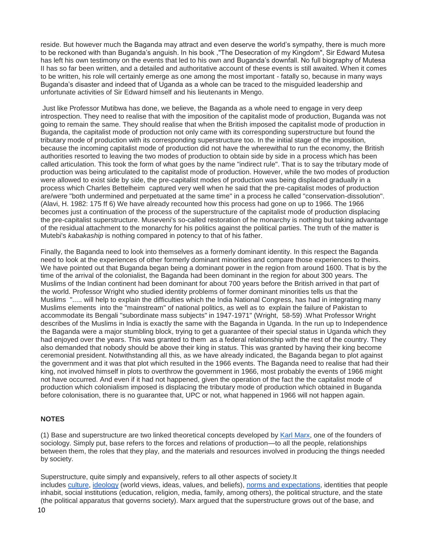reside. But however much the Baganda may attract and even deserve the world's sympathy, there is much more to be reckoned with than Buganda's anguish. In his book ,"The Desecration of my Kingdom", Sir Edward Mutesa has left his own testimony on the events that led to his own and Buganda's downfall. No full biography of Mutesa II has so far been written, and a detailed and authoritative account of these events is still awaited. When it comes to be written, his role will certainly emerge as one among the most important - fatally so, because in many ways Buganda's disaster and indeed that of Uganda as a whole can be traced to the misguided leadership and unfortunate activities of Sir Edward himself and his lieutenants in Mengo.

Just like Professor Mutibwa has done, we believe, the Baganda as a whole need to engage in very deep introspection. They need to realise that with the imposition of the capitalist mode of production, Buganda was not going to remain the same. They should realise that when the British imposed the capitalist mode of production in Buganda, the capitalist mode of production not only came with its corresponding superstructure but found the tributary mode of production with its corresponding superstructure too. In the initial stage of the imposition, because the incoming capitalist mode of production did not have the wherewithal to run the economy, the British authorities resorted to leaving the two modes of production to obtain side by side in a process which has been called articulation. This took the form of what goes by the name "indirect rule". That is to say the tributary mode of production was being articulated to the capitalist mode of production. However, while the two modes of production were allowed to exist side by side, the pre-capitalist modes of production was being displaced gradually in a process which Charles Bettelheim captured very well when he said that the pre-capitalist modes of production are/were "both undermined and perpetuated at the same time" in a process he called "conservation-dissolution". (Alavi, H. 1982: 175 ff 6) We have already recounted how this process had gone on up to 1966. The 1966 becomes just a continuation of the process of the superstructure of the capitalist mode of production displacing the pre-capitalist superstructure. Museveni's so-called restoration of he monarchy is nothing but taking advantage of the residual attachment to the monarchy for his politics against the political parties. The truth of the matter is Mutebi's *kabakaship* is nothing compared in potency to that of his father.

Finally, the Baganda need to look into themselves as a formerly dominant identity. In this respect the Baganda need to look at the experiences of other formerly dominant minorities and compare those experiences to theirs. We have pointed out that Buganda began being a dominant power in the region from around 1600. That is by the time of the arrival of the colonialist, the Baganda had been dominant in the region for about 300 years. The Muslims of the Indian continent had been dominant for about 700 years before the British arrived in that part of the world. Professor Wright who studied identity problems of former dominant minorities tells us that the Muslims "..... will help to explain the difficulties which the India National Congress, has had in integrating many Muslims elements into the "mainstream" of national politics, as well as to explain the failure of Pakistan to accommodate its Bengali "subordinate mass subjects" in 1947-1971" (Wright, 58-59) .What Professor Wright describes of the Muslims in India is exactly the same with the Baganda in Uganda. In the run up to Independence the Baganda were a major stumbling block, trying to get a guarantee of their special status in Uganda which they had enjoyed over the years. This was granted to them as a federal relationship with the rest of the country. They also demanded that nobody should be above their king in status. This was granted by having their king become ceremonial president. Notwithstanding all this, as we have already indicated, the Baganda began to plot against the government and it was that plot which resulted in the 1966 events. The Baganda need to realise that had their king, not involved himself in plots to overthrow the government in 1966, most probably the events of 1966 might not have occurred. And even if it had not happened, given the operation of the fact the the capitalist mode of production which colonialism imposed is displacing the tributary mode of production which obtained in Buganda before colonisation, there is no guarantee that, UPC or not, what happened in 1966 will not happen again.

## **NOTES**

(1) Base and superstructure are two linked theoretical concepts developed by [Karl Marx,](https://www.thoughtco.com/karl-marx-biography-3026494) one of the founders of sociology. Simply put, base refers to the forces and relations of production—to all the people, relationships between them, the roles that they play, and the materials and resources involved in producing the things needed by society.

Superstructure, quite simply and expansively, refers to all other aspects of society.It includes [culture,](https://www.thoughtco.com/culture-definition-4135409) [ideology](https://www.thoughtco.com/ideology-definition-3026356) (world views, ideas, values, and beliefs), [norms and expectations,](https://www.thoughtco.com/why-a-norm-matter-3026644) identities that people inhabit, social institutions (education, religion, media, family, among others), the political structure, and the state (the political apparatus that governs society). Marx argued that the superstructure grows out of the base, and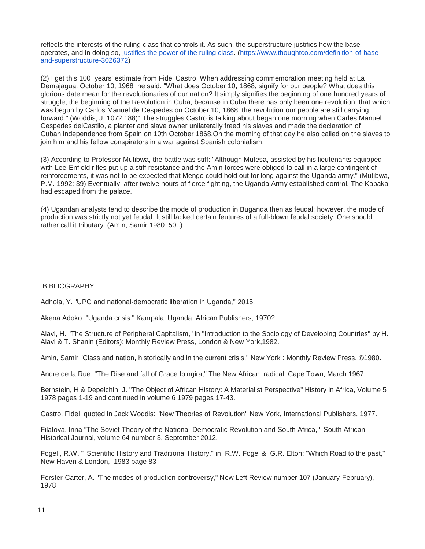reflects the interests of the ruling class that controls it. As such, the superstructure justifies how the base operates, and in doing so, [justifies the power of the ruling class.](https://www.thoughtco.com/cultural-hegemony-3026121) [\(https://www.thoughtco.com/definition-of-base](https://www.thoughtco.com/definition-of-base-and-superstructure-3026372)[and-superstructure-3026372\)](https://www.thoughtco.com/definition-of-base-and-superstructure-3026372)

(2) I get this 100 years' estimate from Fidel Castro. When addressing commemoration meeting held at La Demajagua, October 10, 1968 he said: "What does October 10, 1868, signify for our people? What does this glorious date mean for the revolutionaries of our nation? It simply signifies the beginning of one hundred years of struggle, the beginning of the Revolution in Cuba, because in Cuba there has only been one revolution: that which was begun by Carlos Manuel de Cespedes on October 10, 1868, the revolution our people are still carrying forward." (Woddis, J. 1072:188)" The struggles Castro is talking about began one morning when Carles Manuel Cespedes delCastilo, a planter and slave owner unilaterally freed his slaves and made the declaration of Cuban independence from Spain on 10th October 1868.On the morning of that day he also called on the slaves to join him and his fellow conspirators in a war against Spanish colonialism.

(3) According to Professor Mutibwa, the battle was stiff: "Although Mutesa, assisted by his lieutenants equipped with Lee-Enfield rifles put up a stiff resistance and the Amin forces were obliged to call in a large contingent of reinforcements, it was not to be expected that Mengo could hold out for long against the Uganda army." (Mutibwa, P.M. 1992: 39) Eventually, after twelve hours of fierce fighting, the Uganda Army established control. The Kabaka had escaped from the palace.

(4) Ugandan analysts tend to describe the mode of production in Buganda then as feudal; however, the mode of production was strictly not yet feudal. It still lacked certain feutures of a full-blown feudal society. One should rather call it tributary. (Amin, Samir 1980: 50..)

\_\_\_\_\_\_\_\_\_\_\_\_\_\_\_\_\_\_\_\_\_\_\_\_\_\_\_\_\_\_\_\_\_\_\_\_\_\_\_\_\_\_\_\_\_\_\_\_\_\_\_\_\_\_\_\_\_\_\_\_\_\_\_\_\_\_\_\_\_\_\_\_\_\_\_\_\_\_\_\_\_\_\_\_\_\_\_\_\_\_

\_\_\_\_\_\_\_\_\_\_\_\_\_\_\_\_\_\_\_\_\_\_\_\_\_\_\_\_\_\_\_\_\_\_\_\_\_\_\_\_\_\_\_\_\_\_\_\_\_\_\_\_\_\_\_\_\_\_\_\_\_\_\_\_\_\_\_\_\_\_\_\_\_\_\_\_\_\_\_\_\_\_\_

### **BIBLIOGRAPHY**

Adhola, Y. "UPC and national-democratic liberation in Uganda," 2015.

Akena Adoko: "Uganda crisis." Kampala, Uganda, African Publishers, 1970?

Alavi, H. "The Structure of Peripheral Capitalism," in "Introduction to the Sociology of Developing Countries" by H. Alavi & T. Shanin (Editors): Monthly Review Press, London & New York,1982.

Amin, Samir "Class and nation, historically and in the current crisis," New York : Monthly Review Press, ©1980.

Andre de la Rue: "The Rise and fall of Grace Ibingira," The New African: radical; Cape Town, March 1967.

Bernstein, H & Depelchin, J. "The Object of African History: A Materialist Perspective" History in Africa, Volume 5 1978 pages 1-19 and continued in volume 6 1979 pages 17-43.

Castro, Fidel quoted in Jack Woddis: "New Theories of Revolution" New York, International Publishers, 1977.

Filatova, Irina "The Soviet Theory of the National-Democratic Revolution and South Africa, " South African Historical Journal, volume 64 number 3, September 2012.

Fogel , R.W. " 'Scientific History and Traditional History," in R.W. Fogel & G.R. Elton: "Which Road to the past," New Haven & London, 1983 page 83

Forster-Carter, A. "The modes of production controversy," New Left Review number 107 (January-February), 1978